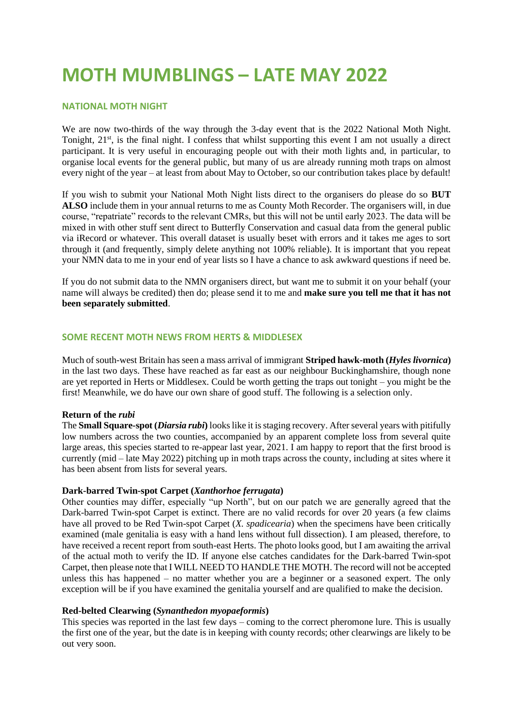# **MOTH MUMBLINGS – LATE MAY 2022**

# **NATIONAL MOTH NIGHT**

We are now two-thirds of the way through the 3-day event that is the 2022 National Moth Night. Tonight, 21<sup>st</sup>, is the final night. I confess that whilst supporting this event I am not usually a direct participant. It is very useful in encouraging people out with their moth lights and, in particular, to organise local events for the general public, but many of us are already running moth traps on almost every night of the year – at least from about May to October, so our contribution takes place by default!

If you wish to submit your National Moth Night lists direct to the organisers do please do so **BUT ALSO** include them in your annual returns to me as County Moth Recorder. The organisers will, in due course, "repatriate" records to the relevant CMRs, but this will not be until early 2023. The data will be mixed in with other stuff sent direct to Butterfly Conservation and casual data from the general public via iRecord or whatever. This overall dataset is usually beset with errors and it takes me ages to sort through it (and frequently, simply delete anything not 100% reliable). It is important that you repeat your NMN data to me in your end of year lists so I have a chance to ask awkward questions if need be.

If you do not submit data to the NMN organisers direct, but want me to submit it on your behalf (your name will always be credited) then do; please send it to me and **make sure you tell me that it has not been separately submitted**.

# **SOME RECENT MOTH NEWS FROM HERTS & MIDDLESEX**

Much of south-west Britain has seen a mass arrival of immigrant **Striped hawk-moth (***Hyles livornica***)** in the last two days. These have reached as far east as our neighbour Buckinghamshire, though none are yet reported in Herts or Middlesex. Could be worth getting the traps out tonight – you might be the first! Meanwhile, we do have our own share of good stuff. The following is a selection only.

## **Return of the** *rubi*

The **Small Square-spot (***Diarsia rubi***)** looks like it is staging recovery. After several years with pitifully low numbers across the two counties, accompanied by an apparent complete loss from several quite large areas, this species started to re-appear last year, 2021. I am happy to report that the first brood is currently (mid – late May 2022) pitching up in moth traps across the county, including at sites where it has been absent from lists for several years.

## **Dark-barred Twin-spot Carpet (***Xanthorhoe ferrugata***)**

Other counties may differ, especially "up North", but on our patch we are generally agreed that the Dark-barred Twin-spot Carpet is extinct. There are no valid records for over 20 years (a few claims have all proved to be Red Twin-spot Carpet (*X. spadicearia*) when the specimens have been critically examined (male genitalia is easy with a hand lens without full dissection). I am pleased, therefore, to have received a recent report from south-east Herts. The photo looks good, but I am awaiting the arrival of the actual moth to verify the ID. If anyone else catches candidates for the Dark-barred Twin-spot Carpet, then please note that I WILL NEED TO HANDLE THE MOTH. The record will not be accepted unless this has happened – no matter whether you are a beginner or a seasoned expert. The only exception will be if you have examined the genitalia yourself and are qualified to make the decision.

# **Red-belted Clearwing (***Synanthedon myopaeformis***)**

This species was reported in the last few days – coming to the correct pheromone lure. This is usually the first one of the year, but the date is in keeping with county records; other clearwings are likely to be out very soon.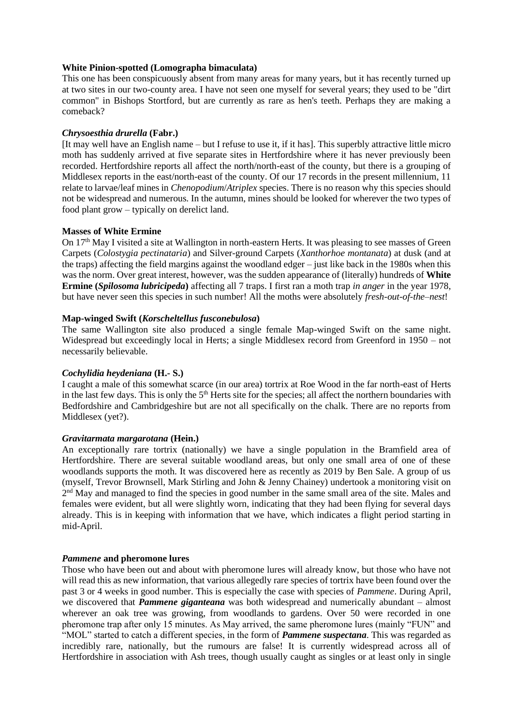# **White Pinion-spotted (Lomographa bimaculata)**

This one has been conspicuously absent from many areas for many years, but it has recently turned up at two sites in our two-county area. I have not seen one myself for several years; they used to be "dirt common" in Bishops Stortford, but are currently as rare as hen's teeth. Perhaps they are making a comeback?

# *Chrysoesthia drurella* **(Fabr.)**

[It may well have an English name – but I refuse to use it, if it has]. This superbly attractive little micro moth has suddenly arrived at five separate sites in Hertfordshire where it has never previously been recorded. Hertfordshire reports all affect the north/north-east of the county, but there is a grouping of Middlesex reports in the east/north-east of the county. Of our 17 records in the present millennium, 11 relate to larvae/leaf mines in *Chenopodium*/*Atriplex* species. There is no reason why this species should not be widespread and numerous. In the autumn, mines should be looked for wherever the two types of food plant grow – typically on derelict land.

## **Masses of White Ermine**

On 17<sup>th</sup> May I visited a site at Wallington in north-eastern Herts. It was pleasing to see masses of Green Carpets (*Colostygia pectinataria*) and Silver-ground Carpets (*Xanthorhoe montanata*) at dusk (and at the traps) affecting the field margins against the woodland edger – just like back in the 1980s when this was the norm. Over great interest, however, was the sudden appearance of (literally) hundreds of **White Ermine (***Spilosoma lubricipeda***)** affecting all 7 traps. I first ran a moth trap *in anger* in the year 1978, but have never seen this species in such number! All the moths were absolutely *fresh-out-of-the–nest*!

# **Map-winged Swift (***Korscheltellus fusconebulosa***)**

The same Wallington site also produced a single female Map-winged Swift on the same night. Widespread but exceedingly local in Herts; a single Middlesex record from Greenford in 1950 – not necessarily believable.

# *Cochylidia heydeniana* **(H.- S.)**

I caught a male of this somewhat scarce (in our area) tortrix at Roe Wood in the far north-east of Herts in the last few days. This is only the 5<sup>th</sup> Herts site for the species; all affect the northern boundaries with Bedfordshire and Cambridgeshire but are not all specifically on the chalk. There are no reports from Middlesex (yet?).

# *Gravitarmata margarotana* **(Hein.)**

An exceptionally rare tortrix (nationally) we have a single population in the Bramfield area of Hertfordshire. There are several suitable woodland areas, but only one small area of one of these woodlands supports the moth. It was discovered here as recently as 2019 by Ben Sale. A group of us (myself, Trevor Brownsell, Mark Stirling and John & Jenny Chainey) undertook a monitoring visit on 2<sup>nd</sup> May and managed to find the species in good number in the same small area of the site. Males and females were evident, but all were slightly worn, indicating that they had been flying for several days already. This is in keeping with information that we have, which indicates a flight period starting in mid-April.

## *Pammene* **and pheromone lures**

Those who have been out and about with pheromone lures will already know, but those who have not will read this as new information, that various allegedly rare species of tortrix have been found over the past 3 or 4 weeks in good number. This is especially the case with species of *Pammene*. During April, we discovered that *Pammene giganteana* was both widespread and numerically abundant – almost wherever an oak tree was growing, from woodlands to gardens. Over 50 were recorded in one pheromone trap after only 15 minutes. As May arrived, the same pheromone lures (mainly "FUN" and "MOL" started to catch a different species, in the form of *Pammene suspectana*. This was regarded as incredibly rare, nationally, but the rumours are false! It is currently widespread across all of Hertfordshire in association with Ash trees, though usually caught as singles or at least only in single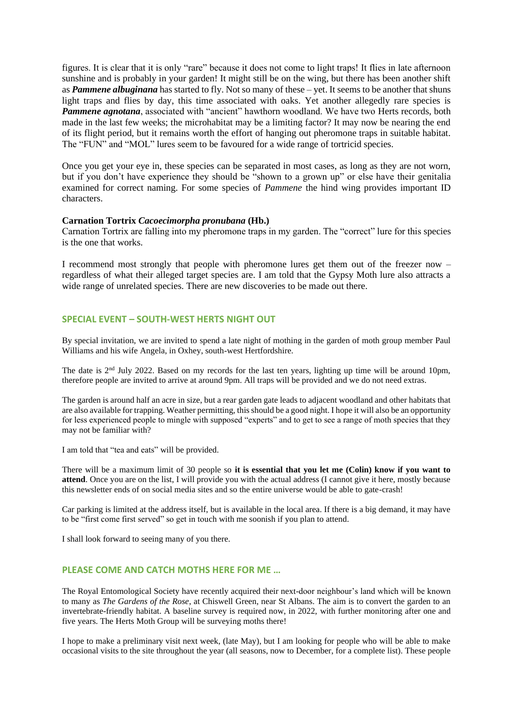figures. It is clear that it is only "rare" because it does not come to light traps! It flies in late afternoon sunshine and is probably in your garden! It might still be on the wing, but there has been another shift as *Pammene albuginana* has started to fly. Not so many of these – yet. It seems to be another that shuns light traps and flies by day, this time associated with oaks. Yet another allegedly rare species is *Pammene agnotana*, associated with "ancient" hawthorn woodland. We have two Herts records, both made in the last few weeks; the microhabitat may be a limiting factor? It may now be nearing the end of its flight period, but it remains worth the effort of hanging out pheromone traps in suitable habitat. The "FUN" and "MOL" lures seem to be favoured for a wide range of tortricid species.

Once you get your eye in, these species can be separated in most cases, as long as they are not worn, but if you don't have experience they should be "shown to a grown up" or else have their genitalia examined for correct naming. For some species of *Pammene* the hind wing provides important ID characters.

#### **Carnation Tortrix** *Cacoecimorpha pronubana* **(Hb.)**

Carnation Tortrix are falling into my pheromone traps in my garden. The "correct" lure for this species is the one that works.

I recommend most strongly that people with pheromone lures get them out of the freezer now – regardless of what their alleged target species are. I am told that the Gypsy Moth lure also attracts a wide range of unrelated species. There are new discoveries to be made out there.

## **SPECIAL EVENT – SOUTH-WEST HERTS NIGHT OUT**

By special invitation, we are invited to spend a late night of mothing in the garden of moth group member Paul Williams and his wife Angela, in Oxhey, south-west Hertfordshire.

The date is 2nd July 2022. Based on my records for the last ten years, lighting up time will be around 10pm, therefore people are invited to arrive at around 9pm. All traps will be provided and we do not need extras.

The garden is around half an acre in size, but a rear garden gate leads to adjacent woodland and other habitats that are also available for trapping. Weather permitting, this should be a good night. I hope it will also be an opportunity for less experienced people to mingle with supposed "experts" and to get to see a range of moth species that they may not be familiar with?

I am told that "tea and eats" will be provided.

There will be a maximum limit of 30 people so **it is essential that you let me (Colin) know if you want to attend**. Once you are on the list, I will provide you with the actual address (I cannot give it here, mostly because this newsletter ends of on social media sites and so the entire universe would be able to gate-crash!

Car parking is limited at the address itself, but is available in the local area. If there is a big demand, it may have to be "first come first served" so get in touch with me soonish if you plan to attend.

I shall look forward to seeing many of you there.

# **PLEASE COME AND CATCH MOTHS HERE FOR ME …**

The Royal Entomological Society have recently acquired their next-door neighbour's land which will be known to many as *The Gardens of the Rose*, at Chiswell Green, near St Albans. The aim is to convert the garden to an invertebrate-friendly habitat. A baseline survey is required now, in 2022, with further monitoring after one and five years. The Herts Moth Group will be surveying moths there!

I hope to make a preliminary visit next week, (late May), but I am looking for people who will be able to make occasional visits to the site throughout the year (all seasons, now to December, for a complete list). These people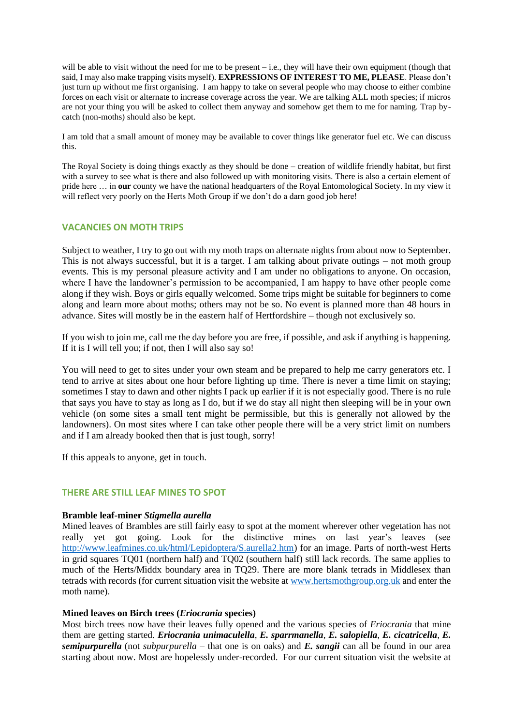will be able to visit without the need for me to be present – i.e., they will have their own equipment (though that said, I may also make trapping visits myself). **EXPRESSIONS OF INTEREST TO ME, PLEASE**. Please don't just turn up without me first organising. I am happy to take on several people who may choose to either combine forces on each visit or alternate to increase coverage across the year. We are talking ALL moth species; if micros are not your thing you will be asked to collect them anyway and somehow get them to me for naming. Trap bycatch (non-moths) should also be kept.

I am told that a small amount of money may be available to cover things like generator fuel etc. We can discuss this.

The Royal Society is doing things exactly as they should be done – creation of wildlife friendly habitat, but first with a survey to see what is there and also followed up with monitoring visits. There is also a certain element of pride here … in **our** county we have the national headquarters of the Royal Entomological Society. In my view it will reflect very poorly on the Herts Moth Group if we don't do a darn good job here!

# **VACANCIES ON MOTH TRIPS**

Subject to weather, I try to go out with my moth traps on alternate nights from about now to September. This is not always successful, but it is a target. I am talking about private outings – not moth group events. This is my personal pleasure activity and I am under no obligations to anyone. On occasion, where I have the landowner's permission to be accompanied, I am happy to have other people come along if they wish. Boys or girls equally welcomed. Some trips might be suitable for beginners to come along and learn more about moths; others may not be so. No event is planned more than 48 hours in advance. Sites will mostly be in the eastern half of Hertfordshire – though not exclusively so.

If you wish to join me, call me the day before you are free, if possible, and ask if anything is happening. If it is I will tell you; if not, then I will also say so!

You will need to get to sites under your own steam and be prepared to help me carry generators etc. I tend to arrive at sites about one hour before lighting up time. There is never a time limit on staying; sometimes I stay to dawn and other nights I pack up earlier if it is not especially good. There is no rule that says you have to stay as long as I do, but if we do stay all night then sleeping will be in your own vehicle (on some sites a small tent might be permissible, but this is generally not allowed by the landowners). On most sites where I can take other people there will be a very strict limit on numbers and if I am already booked then that is just tough, sorry!

If this appeals to anyone, get in touch.

# **THERE ARE STILL LEAF MINES TO SPOT**

## **Bramble leaf-miner** *Stigmella aurella*

Mined leaves of Brambles are still fairly easy to spot at the moment wherever other vegetation has not really yet got going. Look for the distinctive mines on last year's leaves (see [http://www.leafmines.co.uk/html/Lepidoptera/S.aurella2.htm\)](http://www.leafmines.co.uk/html/Lepidoptera/S.aurella2.htm) for an image. Parts of north-west Herts in grid squares TQ01 (northern half) and TQ02 (southern half) still lack records. The same applies to much of the Herts/Middx boundary area in TQ29. There are more blank tetrads in Middlesex than tetrads with records (for current situation visit the website at [www.hertsmothgroup.org.uk](http://www.hertsmothgroup.org.uk/) and enter the moth name).

## **Mined leaves on Birch trees (***Eriocrania* **species)**

Most birch trees now have their leaves fully opened and the various species of *Eriocrania* that mine them are getting started. *Eriocrania unimaculella*, *E. sparrmanella*, *E. salopiella*, *E. cicatricella*, *E. semipurpurella* (not *subpurpurella* – that one is on oaks) and *E. sangii* can all be found in our area starting about now. Most are hopelessly under-recorded. For our current situation visit the website at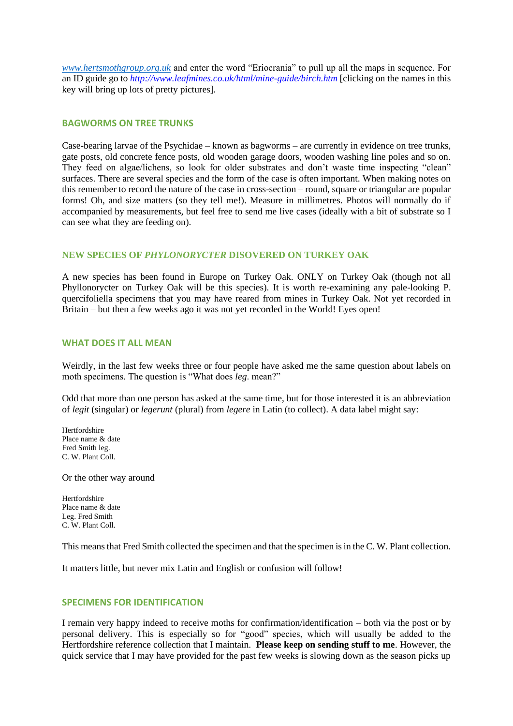*[www.hertsmothgroup.org.uk](http://www.hertsmothgroup.org.uk/)* and enter the word "Eriocrania" to pull up all the maps in sequence. For an ID guide go to *<http://www.leafmines.co.uk/html/mine-guide/birch.htm>* [clicking on the names in this key will bring up lots of pretty pictures].

# **BAGWORMS ON TREE TRUNKS**

Case-bearing larvae of the Psychidae – known as bagworms – are currently in evidence on tree trunks, gate posts, old concrete fence posts, old wooden garage doors, wooden washing line poles and so on. They feed on algae/lichens, so look for older substrates and don't waste time inspecting "clean" surfaces. There are several species and the form of the case is often important. When making notes on this remember to record the nature of the case in cross-section – round, square or triangular are popular forms! Oh, and size matters (so they tell me!). Measure in millimetres. Photos will normally do if accompanied by measurements, but feel free to send me live cases (ideally with a bit of substrate so I can see what they are feeding on).

# **NEW SPECIES OF** *PHYLONORYCTER* **DISOVERED ON TURKEY OAK**

A new species has been found in Europe on Turkey Oak. ONLY on Turkey Oak (though not all Phyllonorycter on Turkey Oak will be this species). It is worth re-examining any pale-looking P. quercifoliella specimens that you may have reared from mines in Turkey Oak. Not yet recorded in Britain – but then a few weeks ago it was not yet recorded in the World! Eyes open!

## **WHAT DOES IT ALL MEAN**

Weirdly, in the last few weeks three or four people have asked me the same question about labels on moth specimens. The question is "What does *leg*. mean?"

Odd that more than one person has asked at the same time, but for those interested it is an abbreviation of *legit* (singular) or *legerunt* (plural) from *legere* in Latin (to collect). A data label might say:

Hertfordshire Place name & date Fred Smith leg. C. W. Plant Coll.

Or the other way around

Hertfordshire Place name & date Leg. Fred Smith C. W. Plant Coll.

This means that Fred Smith collected the specimen and that the specimen is in the C. W. Plant collection.

It matters little, but never mix Latin and English or confusion will follow!

## **SPECIMENS FOR IDENTIFICATION**

I remain very happy indeed to receive moths for confirmation/identification – both via the post or by personal delivery. This is especially so for "good" species, which will usually be added to the Hertfordshire reference collection that I maintain. **Please keep on sending stuff to me**. However, the quick service that I may have provided for the past few weeks is slowing down as the season picks up